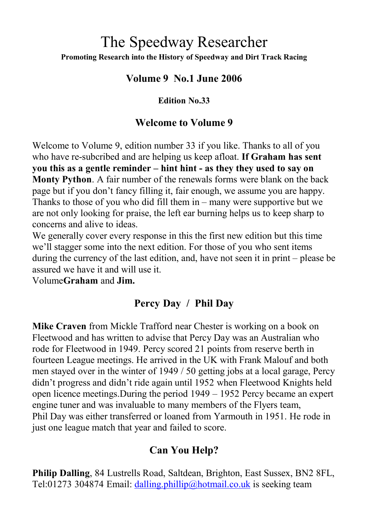# The Speedway Researcher **Promoting Research into the History of Speedway and Dirt Track Racing**

#### **Volume 9 No.1 June 2006**

#### **Edition No.33**

#### **Welcome to Volume 9**

Welcome to Volume 9, edition number 33 if you like. Thanks to all of you who have re-subcribed and are helping us keep afloat. **If Graham has sent you this as a gentle reminder – hint hint - as they they used to say on Monty Python**. A fair number of the renewals forms were blank on the back page but if you don't fancy filling it, fair enough, we assume you are happy. Thanks to those of you who did fill them in – many were supportive but we are not only looking for praise, the left ear burning helps us to keep sharp to concerns and alive to ideas.

We generally cover every response in this the first new edition but this time we'll stagger some into the next edition. For those of you who sent items during the currency of the last edition, and, have not seen it in print – please be assured we have it and will use it.

Volume**Graham** and **Jim.**

## **Percy Day / Phil Day**

**Mike Craven** from Mickle Trafford near Chester is working on a book on Fleetwood and has written to advise that Percy Day was an Australian who rode for Fleetwood in 1949. Percy scored 21 points from reserve berth in fourteen League meetings. He arrived in the UK with Frank Malouf and both men stayed over in the winter of 1949 / 50 getting jobs at a local garage, Percy didn't progress and didn't ride again until 1952 when Fleetwood Knights held open licence meetings.During the period 1949 – 1952 Percy became an expert engine tuner and was invaluable to many members of the Flyers team, Phil Day was either transferred or loaned from Yarmouth in 1951. He rode in just one league match that year and failed to score.

## **Can You Help?**

**Philip Dalling**, 84 Lustrells Road, Saltdean, Brighton, East Sussex, BN2 8FL, Tel:01273 304874 Email: [dalling.phillip@hotmail.co.uk](mailto:dalling.phillip@hotmail.co.uk) is seeking team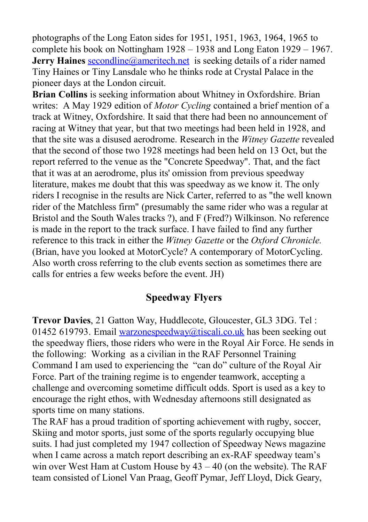photographs of the Long Eaton sides for 1951, 1951, 1963, 1964, 1965 to complete his book on Nottingham 1928 – 1938 and Long Eaton 1929 – 1967. **Jerry Haines [secondline@ameritech.net](mailto:secondline@ameritech.net)** is seeking details of a rider named Tiny Haines or Tiny Lansdale who he thinks rode at Crystal Palace in the pioneer days at the London circuit.

**Brian Collins** is seeking information about Whitney in Oxfordshire. Brian writes: A May 1929 edition of *Motor Cycling* contained a brief mention of a track at Witney, Oxfordshire. It said that there had been no announcement of racing at Witney that year, but that two meetings had been held in 1928, and that the site was a disused aerodrome. Research in the *Witney Gazette* revealed that the second of those two 1928 meetings had been held on 13 Oct, but the report referred to the venue as the "Concrete Speedway". That, and the fact that it was at an aerodrome, plus its' omission from previous speedway literature, makes me doubt that this was speedway as we know it. The only riders I recognise in the results are Nick Carter, referred to as "the well known rider of the Matchless firm" (presumably the same rider who was a regular at Bristol and the South Wales tracks ?), and F (Fred?) Wilkinson. No reference is made in the report to the track surface. I have failed to find any further reference to this track in either the *Witney Gazette* or the *Oxford Chronicle.* (Brian, have you looked at MotorCycle? A contemporary of MotorCycling. Also worth cross referring to the club events section as sometimes there are calls for entries a few weeks before the event. JH)

#### **Speedway Flyers**

**Trevor Davies**, 21 Gatton Way, Huddlecote, Gloucester, GL3 3DG. Tel : 01452 619793. Email [warzonespeedway@tiscali.co.uk](mailto:warzonespeedway@tiscali.co.uk) has been seeking out the speedway fliers, those riders who were in the Royal Air Force. He sends in the following: Working as a civilian in the RAF Personnel Training Command I am used to experiencing the "can do" culture of the Royal Air Force. Part of the training regime is to engender teamwork, accepting a challenge and overcoming sometime difficult odds. Sport is used as a key to encourage the right ethos, with Wednesday afternoons still designated as sports time on many stations.

The RAF has a proud tradition of sporting achievement with rugby, soccer, Skiing and motor sports, just some of the sports regularly occupying blue suits. I had just completed my 1947 collection of Speedway News magazine when I came across a match report describing an ex-RAF speedway team's win over West Ham at Custom House by 43 – 40 (on the website). The RAF team consisted of Lionel Van Praag, Geoff Pymar, Jeff Lloyd, Dick Geary,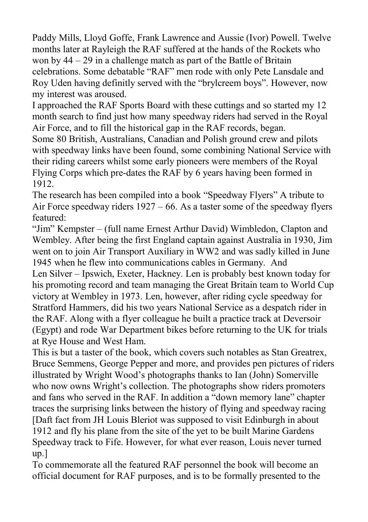Paddy Mills, Lloyd Goffe, Frank Lawrence and Aussie (Ivor) Powell. Twelve months later at Rayleigh the RAF suffered at the hands of the Rockets who won by 44 – 29 in a challenge match as part of the Battle of Britain celebrations. Some debatable "RAF" men rode with only Pete Lansdale and Roy Uden having definitly served with the "brylcreem boys". However, now my interest was aroused.

I approached the RAF Sports Board with these cuttings and so started my 12 month search to find just how many speedway riders had served in the Royal Air Force, and to fill the historical gap in the RAF records, began.

Some 80 British, Australians, Canadian and Polish ground crew and pilots with speedway links have been found, some combining National Service with their riding careers whilst some early pioneers were members of the Royal Flying Corps which pre-dates the RAF by 6 years having been formed in 1912.

The research has been compiled into a book "Speedway Flyers" A tribute to Air Force speedway riders 1927 – 66. As a taster some of the speedway flyers featured:

"Jim" Kempster – (full name Ernest Arthur David) Wimbledon, Clapton and Wembley. After being the first England captain against Australia in 1930, Jim went on to join Air Transport Auxiliary in WW2 and was sadly killed in June 1945 when he flew into communications cables in Germany. And Len Silver – Ipswich, Exeter, Hackney. Len is probably best known today for his promoting record and team managing the Great Britain team to World Cup victory at Wembley in 1973. Len, however, after riding cycle speedway for Stratford Hammers, did his two years National Service as a despatch rider in the RAF. Along with a flyer colleague he built a practice track at Deversoir (Egypt) and rode War Department bikes before returning to the UK for trials at Rye House and West Ham.

This is but a taster of the book, which covers such notables as Stan Greatrex, Bruce Semmens, George Pepper and more, and provides pen pictures of riders illustrated by Wright Wood's photographs thanks to Ian (John) Somerville who now owns Wright's collection. The photographs show riders promoters and fans who served in the RAF. In addition a "down memory lane" chapter traces the surprising links between the history of flying and speedway racing [Daft fact from JH Louis Bleriot was supposed to visit Edinburgh in about 1912 and fly his plane from the site of the yet to be built Marine Gardens Speedway track to Fife. However, for what ever reason, Louis never turned up.]

To commemorate all the featured RAF personnel the book will become an official document for RAF purposes, and is to be formally presented to the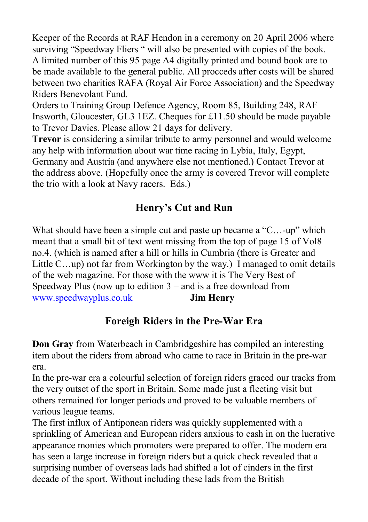Keeper of the Records at RAF Hendon in a ceremony on 20 April 2006 where surviving "Speedway Fliers " will also be presented with copies of the book. A limited number of this 95 page A4 digitally printed and bound book are to be made available to the general public. All procceds after costs will be shared between two charities RAFA (Royal Air Force Association) and the Speedway Riders Benevolant Fund.

Orders to Training Group Defence Agency, Room 85, Building 248, RAF Insworth, Gloucester, GL3 1EZ. Cheques for £11.50 should be made payable to Trevor Davies. Please allow 21 days for delivery.

**Trevor** is considering a similar tribute to army personnel and would welcome any help with information about war time racing in Lybia, Italy, Egypt, Germany and Austria (and anywhere else not mentioned.) Contact Trevor at the address above. (Hopefully once the army is covered Trevor will complete the trio with a look at Navy racers. Eds.)

# **Henry's Cut and Run**

What should have been a simple cut and paste up became a "C...-up" which meant that a small bit of text went missing from the top of page 15 of Vol8 no.4. (which is named after a hill or hills in Cumbria (there is Greater and Little C…up) not far from Workington by the way.) I managed to omit details of the web magazine. For those with the www it is The Very Best of Speedway Plus (now up to edition  $3 -$  and is a free download from [www.speedwayplus.co.uk](http://www.spedwayplus.co.uk/) **Jim Henry**

# **Foreigh Riders in the Pre-War Era**

**Don Gray** from Waterbeach in Cambridgeshire has compiled an interesting item about the riders from abroad who came to race in Britain in the pre-war era.

In the pre-war era a colourful selection of foreign riders graced our tracks from the very outset of the sport in Britain. Some made just a fleeting visit but others remained for longer periods and proved to be valuable members of various league teams.

The first influx of Antiponean riders was quickly supplemented with a sprinkling of American and European riders anxious to cash in on the lucrative appearance monies which promoters were prepared to offer. The modern era has seen a large increase in foreign riders but a quick check revealed that a surprising number of overseas lads had shifted a lot of cinders in the first decade of the sport. Without including these lads from the British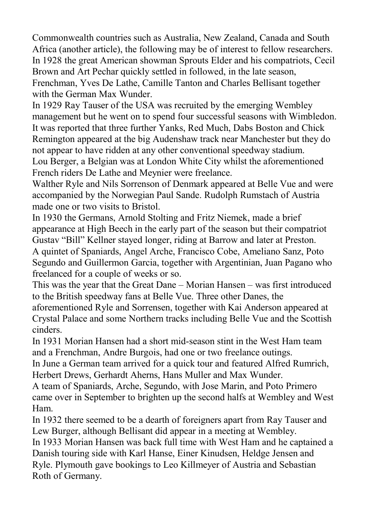Commonwealth countries such as Australia, New Zealand, Canada and South Africa (another article), the following may be of interest to fellow researchers. In 1928 the great American showman Sprouts Elder and his compatriots, Cecil Brown and Art Pechar quickly settled in followed, in the late season, Frenchman, Yves De Lathe, Camille Tanton and Charles Bellisant together with the German Max Wunder.

In 1929 Ray Tauser of the USA was recruited by the emerging Wembley management but he went on to spend four successful seasons with Wimbledon. It was reported that three further Yanks, Red Much, Dabs Boston and Chick Remington appeared at the big Audenshaw track near Manchester but they do not appear to have ridden at any other conventional speedway stadium. Lou Berger, a Belgian was at London White City whilst the aforementioned French riders De Lathe and Meynier were freelance.

Walther Ryle and Nils Sorrenson of Denmark appeared at Belle Vue and were accompanied by the Norwegian Paul Sande. Rudolph Rumstach of Austria made one or two visits to Bristol.

In 1930 the Germans, Arnold Stolting and Fritz Niemek, made a brief appearance at High Beech in the early part of the season but their compatriot Gustav "Bill" Kellner stayed longer, riding at Barrow and later at Preston. A quintet of Spaniards, Angel Arche, Francisco Cobe, Ameliano Sanz, Poto Segundo and Guillermon Garcia, together with Argentinian, Juan Pagano who freelanced for a couple of weeks or so.

This was the year that the Great Dane – Morian Hansen – was first introduced to the British speedway fans at Belle Vue. Three other Danes, the aforementioned Ryle and Sorrensen, together with Kai Anderson appeared at Crystal Palace and some Northern tracks including Belle Vue and the Scottish cinders.

In 1931 Morian Hansen had a short mid-season stint in the West Ham team and a Frenchman, Andre Burgois, had one or two freelance outings.

In June a German team arrived for a quick tour and featured Alfred Rumrich, Herbert Drews, Gerhardt Aherns, Hans Muller and Max Wunder.

A team of Spaniards, Arche, Segundo, with Jose Marin, and Poto Primero came over in September to brighten up the second halfs at Wembley and West Ham.

In 1932 there seemed to be a dearth of foreigners apart from Ray Tauser and Lew Burger, although Bellisant did appear in a meeting at Wembley.

In 1933 Morian Hansen was back full time with West Ham and he captained a Danish touring side with Karl Hanse, Einer Kinudsen, Heldge Jensen and Ryle. Plymouth gave bookings to Leo Killmeyer of Austria and Sebastian Roth of Germany.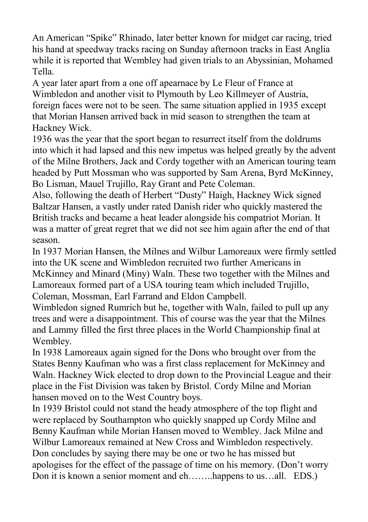An American "Spike" Rhinado, later better known for midget car racing, tried his hand at speedway tracks racing on Sunday afternoon tracks in East Anglia while it is reported that Wembley had given trials to an Abyssinian, Mohamed Tella.

A year later apart from a one off apearnace by Le Fleur of France at Wimbledon and another visit to Plymouth by Leo Killmeyer of Austria, foreign faces were not to be seen. The same situation applied in 1935 except that Morian Hansen arrived back in mid season to strengthen the team at Hackney Wick.

1936 was the year that the sport began to resurrect itself from the doldrums into which it had lapsed and this new impetus was helped greatly by the advent of the Milne Brothers, Jack and Cordy together with an American touring team headed by Putt Mossman who was supported by Sam Arena, Byrd McKinney, Bo Lisman, Mauel Trujillo, Ray Grant and Pete Coleman.

Also, following the death of Herbert "Dusty" Haigh, Hackney Wick signed Baltzar Hansen, a vastly under rated Danish rider who quickly mastered the British tracks and became a heat leader alongside his compatriot Morian. It was a matter of great regret that we did not see him again after the end of that season.

In 1937 Morian Hansen, the Milnes and Wilbur Lamoreaux were firmly settled into the UK scene and Wimbledon recruited two further Americans in McKinney and Minard (Miny) Waln. These two together with the Milnes and Lamoreaux formed part of a USA touring team which included Trujillo, Coleman, Mossman, Earl Farrand and Eldon Campbell.

Wimbledon signed Rumrich but he, together with Waln, failed to pull up any trees and were a disappointment. This of course was the year that the Milnes and Lammy filled the first three places in the World Championship final at Wembley.

In 1938 Lamoreaux again signed for the Dons who brought over from the States Benny Kaufman who was a first class replacement for McKinney and Waln. Hackney Wick elected to drop down to the Provincial League and their place in the Fist Division was taken by Bristol. Cordy Milne and Morian hansen moved on to the West Country boys.

In 1939 Bristol could not stand the heady atmosphere of the top flight and were replaced by Southampton who quickly snapped up Cordy Milne and Benny Kaufman while Morian Hansen moved to Wembley. Jack Milne and Wilbur Lamoreaux remained at New Cross and Wimbledon respectively. Don concludes by saying there may be one or two he has missed but apologises for the effect of the passage of time on his memory. (Don't worry Don it is known a senior moment and eh……..happens to us…all. EDS.)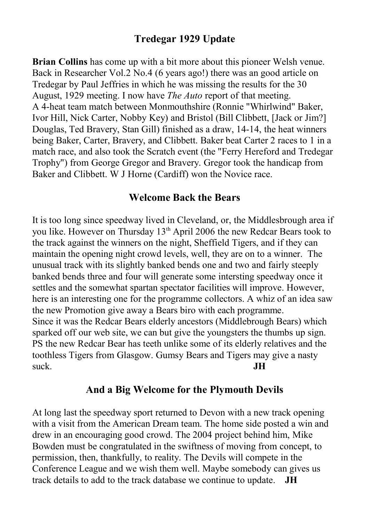## **Tredegar 1929 Update**

**Brian Collins** has come up with a bit more about this pioneer Welsh venue. Back in Researcher Vol.2 No.4 (6 years ago!) there was an good article on Tredegar by Paul Jeffries in which he was missing the results for the 30 August, 1929 meeting. I now have *The Auto* report of that meeting. A 4-heat team match between Monmouthshire (Ronnie "Whirlwind" Baker, Ivor Hill, Nick Carter, Nobby Key) and Bristol (Bill Clibbett, [Jack or Jim?] Douglas, Ted Bravery, Stan Gill) finished as a draw, 14-14, the heat winners being Baker, Carter, Bravery, and Clibbett. Baker beat Carter 2 races to 1 in a match race, and also took the Scratch event (the "Ferry Hereford and Tredegar Trophy") from George Gregor and Bravery. Gregor took the handicap from Baker and Clibbett. W J Horne (Cardiff) won the Novice race.

#### **Welcome Back the Bears**

It is too long since speedway lived in Cleveland, or, the Middlesbrough area if you like. However on Thursday 13<sup>th</sup> April 2006 the new Redcar Bears took to the track against the winners on the night, Sheffield Tigers, and if they can maintain the opening night crowd levels, well, they are on to a winner. The unusual track with its slightly banked bends one and two and fairly steeply banked bends three and four will generate some intersting speedway once it settles and the somewhat spartan spectator facilities will improve. However, here is an interesting one for the programme collectors. A whiz of an idea saw the new Promotion give away a Bears biro with each programme. Since it was the Redcar Bears elderly ancestors (Middlebrough Bears) which sparked off our web site, we can but give the youngsters the thumbs up sign. PS the new Redcar Bear has teeth unlike some of its elderly relatives and the toothless Tigers from Glasgow. Gumsy Bears and Tigers may give a nasty suck. **JH**

#### **And a Big Welcome for the Plymouth Devils**

At long last the speedway sport returned to Devon with a new track opening with a visit from the American Dream team. The home side posted a win and drew in an encouraging good crowd. The 2004 project behind him, Mike Bowden must be congratulated in the swiftness of moving from concept, to permission, then, thankfully, to reality. The Devils will compete in the Conference League and we wish them well. Maybe somebody can gives us track details to add to the track database we continue to update. **JH**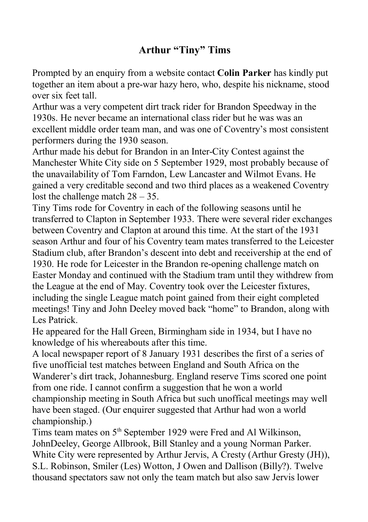# **Arthur "Tiny" Tims**

Prompted by an enquiry from a website contact **Colin Parker** has kindly put together an item about a pre-war hazy hero, who, despite his nickname, stood over six feet tall.

Arthur was a very competent dirt track rider for Brandon Speedway in the 1930s. He never became an international class rider but he was was an excellent middle order team man, and was one of Coventry's most consistent performers during the 1930 season.

Arthur made his debut for Brandon in an Inter-City Contest against the Manchester White City side on 5 September 1929, most probably because of the unavailability of Tom Farndon, Lew Lancaster and Wilmot Evans. He gained a very creditable second and two third places as a weakened Coventry lost the challenge match 28 – 35.

Tiny Tims rode for Coventry in each of the following seasons until he transferred to Clapton in September 1933. There were several rider exchanges between Coventry and Clapton at around this time. At the start of the 1931 season Arthur and four of his Coventry team mates transferred to the Leicester Stadium club, after Brandon's descent into debt and receivership at the end of 1930. He rode for Leicester in the Brandon re-opening challenge match on Easter Monday and continued with the Stadium tram until they withdrew from the League at the end of May. Coventry took over the Leicester fixtures, including the single League match point gained from their eight completed meetings! Tiny and John Deeley moved back "home" to Brandon, along with Les Patrick.

He appeared for the Hall Green, Birmingham side in 1934, but I have no knowledge of his whereabouts after this time.

A local newspaper report of 8 January 1931 describes the first of a series of five unofficial test matches between England and South Africa on the Wanderer's dirt track, Johannesburg. England reserve Tims scored one point from one ride. I cannot confirm a suggestion that he won a world championship meeting in South Africa but such unoffical meetings may well have been staged. (Our enquirer suggested that Arthur had won a world championship.)

Tims team mates on 5<sup>th</sup> September 1929 were Fred and Al Wilkinson, JohnDeeley, George Allbrook, Bill Stanley and a young Norman Parker. White City were represented by Arthur Jervis, A Cresty (Arthur Gresty (JH)), S.L. Robinson, Smiler (Les) Wotton, J Owen and Dallison (Billy?). Twelve thousand spectators saw not only the team match but also saw Jervis lower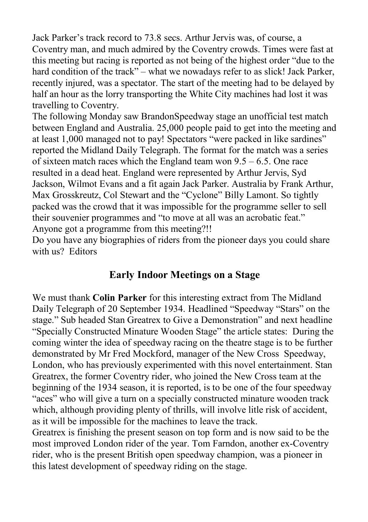Jack Parker's track record to 73.8 secs. Arthur Jervis was, of course, a Coventry man, and much admired by the Coventry crowds. Times were fast at this meeting but racing is reported as not being of the highest order "due to the hard condition of the track" – what we nowadays refer to as slick! Jack Parker, recently injured, was a spectator. The start of the meeting had to be delayed by half an hour as the lorry transporting the White City machines had lost it was travelling to Coventry.

The following Monday saw BrandonSpeedway stage an unofficial test match between England and Australia. 25,000 people paid to get into the meeting and at least 1,000 managed not to pay! Spectators "were packed in like sardines" reported the Midland Daily Telegraph. The format for the match was a series of sixteen match races which the England team won 9.5 – 6.5. One race resulted in a dead heat. England were represented by Arthur Jervis, Syd Jackson, Wilmot Evans and a fit again Jack Parker. Australia by Frank Arthur, Max Grosskreutz, Col Stewart and the "Cyclone" Billy Lamont. So tightly packed was the crowd that it was impossible for the programme seller to sell their souvenier programmes and "to move at all was an acrobatic feat." Anyone got a programme from this meeting?!!

Do you have any biographies of riders from the pioneer days you could share with us? Editors

## **Early Indoor Meetings on a Stage**

We must thank **Colin Parker** for this interesting extract from The Midland Daily Telegraph of 20 September 1934. Headlined "Speedway "Stars" on the stage." Sub headed Stan Greatrex to Give a Demonstration" and next headline "Specially Constructed Minature Wooden Stage" the article states: During the coming winter the idea of speedway racing on the theatre stage is to be further demonstrated by Mr Fred Mockford, manager of the New Cross Speedway, London, who has previously experimented with this novel entertainment. Stan Greatrex, the former Coventry rider, who joined the New Cross team at the beginning of the 1934 season, it is reported, is to be one of the four speedway "aces" who will give a turn on a specially constructed minature wooden track which, although providing plenty of thrills, will involve litle risk of accident, as it will be impossible for the machines to leave the track.

Greatrex is finishing the present season on top form and is now said to be the most improved London rider of the year. Tom Farndon, another ex-Coventry rider, who is the present British open speedway champion, was a pioneer in this latest development of speedway riding on the stage.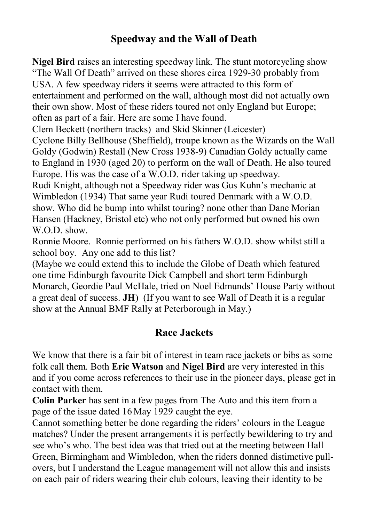## **Speedway and the Wall of Death**

**Nigel Bird** raises an interesting speedway link. The stunt motorcycling show "The Wall Of Death" arrived on these shores circa 1929-30 probably from USA. A few speedway riders it seems were attracted to this form of entertainment and performed on the wall, although most did not actually own their own show. Most of these riders toured not only England but Europe; often as part of a fair. Here are some I have found.

Clem Beckett (northern tracks) and Skid Skinner (Leicester)

Cyclone Billy Bellhouse (Sheffield), troupe known as the Wizards on the Wall Goldy (Godwin) Restall (New Cross 1938-9) Canadian Goldy actually came to England in 1930 (aged 20) to perform on the wall of Death. He also toured Europe. His was the case of a W.O.D. rider taking up speedway.

Rudi Knight, although not a Speedway rider was Gus Kuhn's mechanic at Wimbledon (1934) That same year Rudi toured Denmark with a W.O.D. show. Who did he bump into whilst touring? none other than Dane Morian Hansen (Hackney, Bristol etc) who not only performed but owned his own W.O.D. show.

Ronnie Moore. Ronnie performed on his fathers W.O.D. show whilst still a school boy. Any one add to this list?

(Maybe we could extend this to include the Globe of Death which featured one time Edinburgh favourite Dick Campbell and short term Edinburgh Monarch, Geordie Paul McHale, tried on Noel Edmunds' House Party without a great deal of success. **JH**) (If you want to see Wall of Death it is a regular show at the Annual BMF Rally at Peterborough in May.)

## **Race Jackets**

We know that there is a fair bit of interest in team race jackets or bibs as some folk call them. Both **Eric Watson** and **Nigel Bird** are very interested in this and if you come across references to their use in the pioneer days, please get in contact with them.

**Colin Parker** has sent in a few pages from The Auto and this item from a page of the issue dated 16 May 1929 caught the eye.

Cannot something better be done regarding the riders' colours in the League matches? Under the present arrangements it is perfectly bewildering to try and see who's who. The best idea was that tried out at the meeting between Hall Green, Birmingham and Wimbledon, when the riders donned distimctive pullovers, but I understand the League management will not allow this and insists on each pair of riders wearing their club colours, leaving their identity to be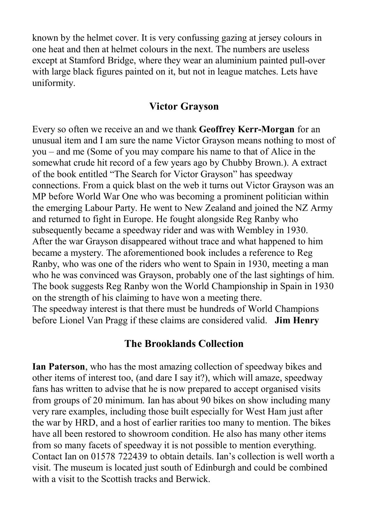known by the helmet cover. It is very confussing gazing at jersey colours in one heat and then at helmet colours in the next. The numbers are useless except at Stamford Bridge, where they wear an aluminium painted pull-over with large black figures painted on it, but not in league matches. Lets have uniformity.

#### **Victor Grayson**

Every so often we receive an and we thank **Geoffrey Kerr-Morgan** for an unusual item and I am sure the name Victor Grayson means nothing to most of you – and me (Some of you may compare his name to that of Alice in the somewhat crude hit record of a few years ago by Chubby Brown.). A extract of the book entitled "The Search for Victor Grayson" has speedway connections. From a quick blast on the web it turns out Victor Grayson was an MP before World War One who was becoming a prominent politician within the emerging Labour Party. He went to New Zealand and joined the NZ Army and returned to fight in Europe. He fought alongside Reg Ranby who subsequently became a speedway rider and was with Wembley in 1930. After the war Grayson disappeared without trace and what happened to him became a mystery. The aforementioned book includes a reference to Reg Ranby, who was one of the riders who went to Spain in 1930, meeting a man who he was convinced was Grayson, probably one of the last sightings of him. The book suggests Reg Ranby won the World Championship in Spain in 1930 on the strength of his claiming to have won a meeting there. The speedway interest is that there must be hundreds of World Champions before Lionel Van Pragg if these claims are considered valid. **Jim Henry**

## **The Brooklands Collection**

**Ian Paterson**, who has the most amazing collection of speedway bikes and other items of interest too, (and dare I say it?), which will amaze, speedway fans has written to advise that he is now prepared to accept organised visits from groups of 20 minimum. Ian has about 90 bikes on show including many very rare examples, including those built especially for West Ham just after the war by HRD, and a host of earlier rarities too many to mention. The bikes have all been restored to showroom condition. He also has many other items from so many facets of speedway it is not possible to mention everything. Contact Ian on 01578 722439 to obtain details. Ian's collection is well worth a visit. The museum is located just south of Edinburgh and could be combined with a visit to the Scottish tracks and Berwick.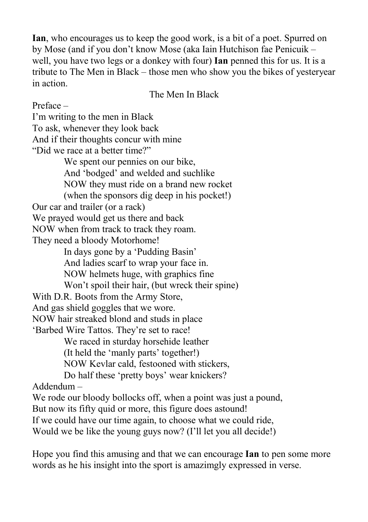**Ian**, who encourages us to keep the good work, is a bit of a poet. Spurred on by Mose (and if you don't know Mose (aka Iain Hutchison fae Penicuik – well, you have two legs or a donkey with four) **Ian** penned this for us. It is a tribute to The Men in Black – those men who show you the bikes of yesteryear in action.

The Men In Black

Preface – I'm writing to the men in Black To ask, whenever they look back And if their thoughts concur with mine "Did we race at a better time?" We spent our pennies on our bike, And 'bodged' and welded and suchlike NOW they must ride on a brand new rocket (when the sponsors dig deep in his pocket!) Our car and trailer (or a rack) We prayed would get us there and back NOW when from track to track they roam. They need a bloody Motorhome! In days gone by a 'Pudding Basin' And ladies scarf to wrap your face in. NOW helmets huge, with graphics fine Won't spoil their hair, (but wreck their spine) With D.R. Boots from the Army Store, And gas shield goggles that we wore. NOW hair streaked blond and studs in place 'Barbed Wire Tattos. They're set to race! We raced in sturday horsehide leather (It held the 'manly parts' together!) NOW Kevlar cald, festooned with stickers, Do half these 'pretty boys' wear knickers? Addendum – We rode our bloody bollocks off, when a point was just a pound, But now its fifty quid or more, this figure does astound! If we could have our time again, to choose what we could ride, Would we be like the young guys now? (I'll let you all decide!)

Hope you find this amusing and that we can encourage **Ian** to pen some more words as he his insight into the sport is amazimgly expressed in verse.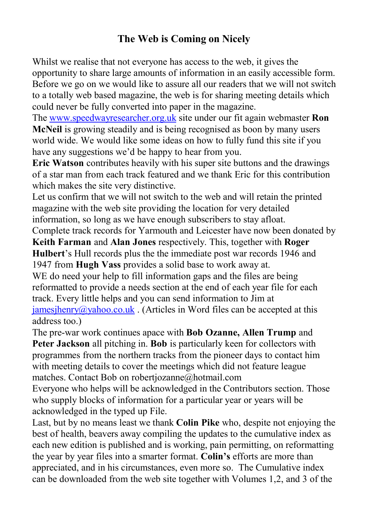## **The Web is Coming on Nicely**

Whilst we realise that not everyone has access to the web, it gives the opportunity to share large amounts of information in an easily accessible form. Before we go on we would like to assure all our readers that we will not switch to a totally web based magazine, the web is for sharing meeting details which could never be fully converted into paper in the magazine.

The [www.speedwayresearcher.org.uk](http://www.speedwayresearcher.org.uk/) site under our fit again webmaster **Ron McNeil** is growing steadily and is being recognised as boon by many users world wide. We would like some ideas on how to fully fund this site if you have any suggestions we'd be happy to hear from you.

**Eric Watson** contributes heavily with his super site buttons and the drawings of a star man from each track featured and we thank Eric for this contribution which makes the site very distinctive.

Let us confirm that we will not switch to the web and will retain the printed magazine with the web site providing the location for very detailed information, so long as we have enough subscribers to stay afloat.

Complete track records for Yarmouth and Leicester have now been donated by **Keith Farman** and **Alan Jones** respectively. This, together with **Roger Hulbert**'s Hull records plus the the immediate post war records 1946 and 1947 from **Hugh Vass** provides a solid base to work away at.

WE do need your help to fill information gaps and the files are being reformatted to provide a needs section at the end of each year file for each track. Every little helps and you can send information to Jim at  $j$ amesjhenry@yahoo.co.uk . (Articles in Word files can be accepted at this address too.)

The pre-war work continues apace with **Bob Ozanne, Allen Trump** and **Peter Jackson** all pitching in. **Bob** is particularly keen for collectors with programmes from the northern tracks from the pioneer days to contact him with meeting details to cover the meetings which did not feature league matches. Contact Bob on robertjozanne@hotmail.com

Everyone who helps will be acknowledged in the Contributors section. Those who supply blocks of information for a particular year or years will be acknowledged in the typed up File.

Last, but by no means least we thank **Colin Pike** who, despite not enjoying the best of health, beavers away compiling the updates to the cumulative index as each new edition is published and is working, pain permitting, on reformatting the year by year files into a smarter format. **Colin's** efforts are more than appreciated, and in his circumstances, even more so. The Cumulative index can be downloaded from the web site together with Volumes 1,2, and 3 of the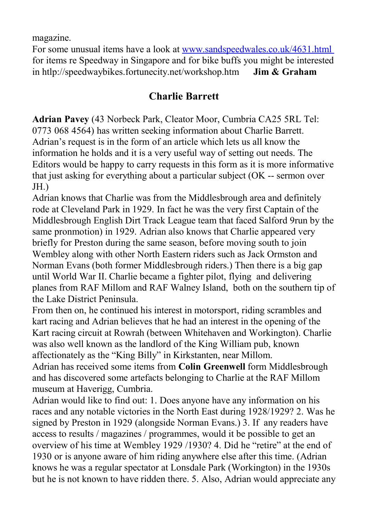magazine.

For some unusual items have a look at [www.sandspeedwales.co.uk/4631.html](http://www.sandspeedwales.co.uk/4631.html) for items re Speedway in Singapore and for bike buffs you might be interested in htlp://speedwaybikes.fortunecity.net/workshop.htm **Jim & Graham**

## **Charlie Barrett**

**Adrian Pavey** (43 Norbeck Park, Cleator Moor, Cumbria CA25 5RL Tel: 0773 068 4564) has written seeking information about Charlie Barrett. Adrian's request is in the form of an article which lets us all know the information he holds and it is a very useful way of setting out needs. The Editors would be happy to carry requests in this form as it is more informative that just asking for everything about a particular subject (OK -- sermon over JH.)

Adrian knows that Charlie was from the Middlesbrough area and definitely rode at Cleveland Park in 1929. In fact he was the very first Captain of the Middlesbrough English Dirt Track League team that faced Salford 9run by the same pronmotion) in 1929. Adrian also knows that Charlie appeared very briefly for Preston during the same season, before moving south to join Wembley along with other North Eastern riders such as Jack Ormston and Norman Evans (both former Middlesbrough riders.) Then there is a big gap until World War II. Charlie became a fighter pilot, flying and delivering planes from RAF Millom and RAF Walney Island, both on the southern tip of the Lake District Peninsula.

From then on, he continued his interest in motorsport, riding scrambles and kart racing and Adrian believes that he had an interest in the opening of the Kart racing circuit at Rowrah (between Whitehaven and Workington). Charlie was also well known as the landlord of the King William pub, known affectionately as the "King Billy" in Kirkstanten, near Millom.

Adrian has received some items from **Colin Greenwell** form Middlesbrough and has discovered some artefacts belonging to Charlie at the RAF Millom museum at Haverigg, Cumbria.

Adrian would like to find out: 1. Does anyone have any information on his races and any notable victories in the North East during 1928/1929? 2. Was he signed by Preston in 1929 (alongside Norman Evans.) 3. If any readers have access to results / magazines / programmes, would it be possible to get an overview of his time at Wembley 1929 /1930? 4. Did he "retire" at the end of 1930 or is anyone aware of him riding anywhere else after this time. (Adrian knows he was a regular spectator at Lonsdale Park (Workington) in the 1930s but he is not known to have ridden there. 5. Also, Adrian would appreciate any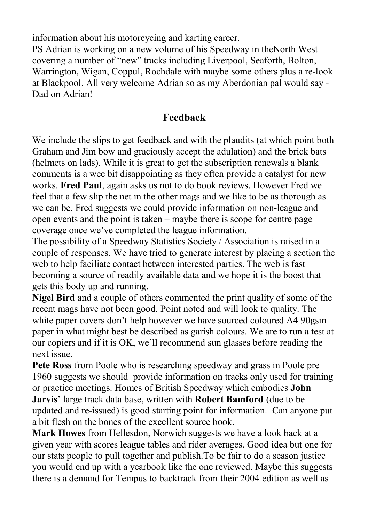information about his motorcycing and karting career.

PS Adrian is working on a new volume of his Speedway in theNorth West covering a number of "new" tracks including Liverpool, Seaforth, Bolton, Warrington, Wigan, Coppul, Rochdale with maybe some others plus a re-look at Blackpool. All very welcome Adrian so as my Aberdonian pal would say - Dad on Adrian!

## **Feedback**

We include the slips to get feedback and with the plaudits (at which point both Graham and Jim bow and graciously accept the adulation) and the brick bats (helmets on lads). While it is great to get the subscription renewals a blank comments is a wee bit disappointing as they often provide a catalyst for new works. **Fred Paul**, again asks us not to do book reviews. However Fred we feel that a few slip the net in the other mags and we like to be as thorough as we can be. Fred suggests we could provide information on non-league and open events and the point is taken – maybe there is scope for centre page coverage once we've completed the league information.

The possibility of a Speedway Statistics Society / Association is raised in a couple of responses. We have tried to generate interest by placing a section the web to help faciliate contact between interested parties. The web is fast becoming a source of readily available data and we hope it is the boost that gets this body up and running.

**Nigel Bird** and a couple of others commented the print quality of some of the recent mags have not been good. Point noted and will look to quality. The white paper covers don't help however we have sourced coloured A4 90gsm paper in what might best be described as garish colours. We are to run a test at our copiers and if it is OK, we'll recommend sun glasses before reading the next issue.

**Pete Ross** from Poole who is researching speedway and grass in Poole pre 1960 suggests we should provide information on tracks only used for training or practice meetings. Homes of British Speedway which embodies **John Jarvis**' large track data base, written with **Robert Bamford** (due to be updated and re-issued) is good starting point for information. Can anyone put a bit flesh on the bones of the excellent source book.

**Mark Howes** from Hellesdon, Norwich suggests we have a look back at a given year with scores league tables and rider averages. Good idea but one for our stats people to pull together and publish.To be fair to do a season justice you would end up with a yearbook like the one reviewed. Maybe this suggests there is a demand for Tempus to backtrack from their 2004 edition as well as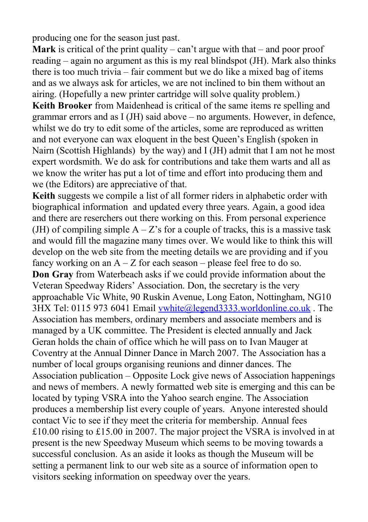producing one for the season just past.

**Mark** is critical of the print quality – can't argue with that – and poor proof reading – again no argument as this is my real blindspot (JH). Mark also thinks there is too much trivia – fair comment but we do like a mixed bag of items and as we always ask for articles, we are not inclined to bin them without an airing. (Hopefully a new printer cartridge will solve quality problem.)

**Keith Brooker** from Maidenhead is critical of the same items re spelling and grammar errors and as I (JH) said above – no arguments. However, in defence, whilst we do try to edit some of the articles, some are reproduced as written and not everyone can wax eloquent in the best Queen's English (spoken in Nairn (Scottish Highlands) by the way) and I (JH) admit that I am not he most expert wordsmith. We do ask for contributions and take them warts and all as we know the writer has put a lot of time and effort into producing them and we (the Editors) are appreciative of that.

**Keith** suggests we compile a list of all former riders in alphabetic order with biographical information and updated every three years. Again, a good idea and there are reserchers out there working on this. From personal experience (JH) of compiling simple  $A - Z$ 's for a couple of tracks, this is a massive task and would fill the magazine many times over. We would like to think this will develop on the web site from the meeting details we are providing and if you fancy working on an  $A - Z$  for each season – please feel free to do so. **Don Gray** from Waterbeach asks if we could provide information about the Veteran Speedway Riders' Association. Don, the secretary is the very approachable Vic White, 90 Ruskin Avenue, Long Eaton, Nottingham, NG10 3HX Tel: 0115 973 6041 Email [vwhite@legend3333.worldonline.co.uk](mailto:vwhite@legend3333.worldonline.co.uk) . The Association has members, ordinary members and associate members and is managed by a UK committee. The President is elected annually and Jack Geran holds the chain of office which he will pass on to Ivan Mauger at Coventry at the Annual Dinner Dance in March 2007. The Association has a number of local groups organising reunions and dinner dances. The Association publication – Opposite Lock give news of Association happenings and news of members. A newly formatted web site is emerging and this can be located by typing VSRA into the Yahoo search engine. The Association produces a membership list every couple of years. Anyone interested should contact Vic to see if they meet the criteria for membership. Annual fees £10.00 rising to £15.00 in 2007. The major project the VSRA is involved in at present is the new Speedway Museum which seems to be moving towards a successful conclusion. As an aside it looks as though the Museum will be setting a permanent link to our web site as a source of information open to visitors seeking information on speedway over the years.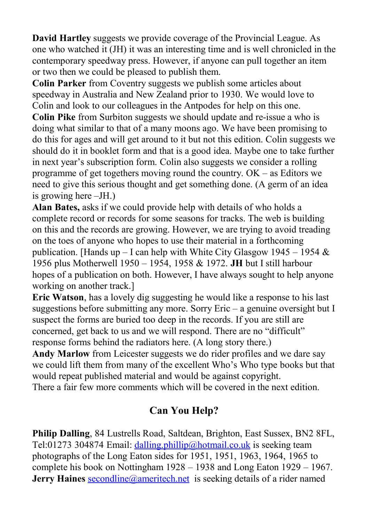**David Hartley** suggests we provide coverage of the Provincial League. As one who watched it (JH) it was an interesting time and is well chronicled in the contemporary speedway press. However, if anyone can pull together an item or two then we could be pleased to publish them.

**Colin Parker** from Coventry suggests we publish some articles about speedway in Australia and New Zealand prior to 1930. We would love to Colin and look to our colleagues in the Antpodes for help on this one.

**Colin Pike** from Surbiton suggests we should update and re-issue a who is doing what similar to that of a many moons ago. We have been promising to do this for ages and will get around to it but not this edition. Colin suggests we should do it in booklet form and that is a good idea. Maybe one to take further in next year's subscription form. Colin also suggests we consider a rolling programme of get togethers moving round the country. OK – as Editors we need to give this serious thought and get something done. (A germ of an idea is growing here –JH.)

**Alan Bates,** asks if we could provide help with details of who holds a complete record or records for some seasons for tracks. The web is building on this and the records are growing. However, we are trying to avoid treading on the toes of anyone who hopes to use their material in a forthcoming publication. [Hands up – I can help with White City Glasgow 1945 – 1954  $\&$ 1956 plus Motherwell 1950 – 1954, 1958 & 1972. **JH** but I still harbour hopes of a publication on both. However, I have always sought to help anyone working on another track.]

**Eric Watson**, has a lovely dig suggesting he would like a response to his last suggestions before submitting any more. Sorry Eric – a genuine oversight but I suspect the forms are buried too deep in the records. If you are still are concerned, get back to us and we will respond. There are no "difficult" response forms behind the radiators here. (A long story there.)

**Andy Marlow** from Leicester suggests we do rider profiles and we dare say we could lift them from many of the excellent Who's Who type books but that would repeat published material and would be against copyright. There a fair few more comments which will be covered in the next edition.

# **Can You Help?**

**Philip Dalling**, 84 Lustrells Road, Saltdean, Brighton, East Sussex, BN2 8FL, Tel:01273 304874 Email: [dalling.phillip@hotmail.co.uk](mailto:dalling.phillip@hotmail.co.uk) is seeking team photographs of the Long Eaton sides for 1951, 1951, 1963, 1964, 1965 to complete his book on Nottingham 1928 – 1938 and Long Eaton 1929 – 1967. **Jerry Haines [secondline@ameritech.net](mailto:secondline@ameritech.net)** is seeking details of a rider named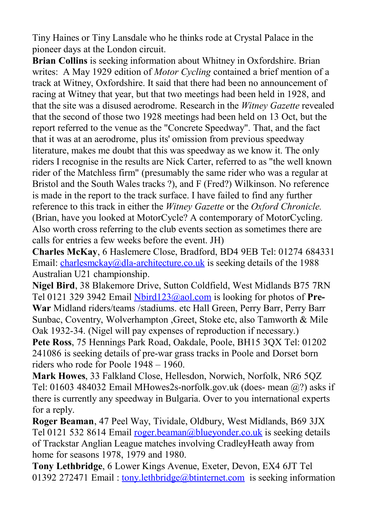Tiny Haines or Tiny Lansdale who he thinks rode at Crystal Palace in the pioneer days at the London circuit.

**Brian Collins** is seeking information about Whitney in Oxfordshire. Brian writes: A May 1929 edition of *Motor Cycling* contained a brief mention of a track at Witney, Oxfordshire. It said that there had been no announcement of racing at Witney that year, but that two meetings had been held in 1928, and that the site was a disused aerodrome. Research in the *Witney Gazette* revealed that the second of those two 1928 meetings had been held on 13 Oct, but the report referred to the venue as the "Concrete Speedway". That, and the fact that it was at an aerodrome, plus its' omission from previous speedway literature, makes me doubt that this was speedway as we know it. The only riders I recognise in the results are Nick Carter, referred to as "the well known rider of the Matchless firm" (presumably the same rider who was a regular at Bristol and the South Wales tracks ?), and F (Fred?) Wilkinson. No reference is made in the report to the track surface. I have failed to find any further reference to this track in either the *Witney Gazette* or the *Oxford Chronicle.* (Brian, have you looked at MotorCycle? A contemporary of MotorCycling. Also worth cross referring to the club events section as sometimes there are calls for entries a few weeks before the event. JH)

**Charles McKay**, 6 Haslemere Close, Bradford, BD4 9EB Tel: 01274 684331 Email: [charlesmckay@dla-architecture.co.uk](mailto:charlesmckay@dla-architecture.co.uk) is seeking details of the 1988 Australian U21 championship.

**Nigel Bird**, 38 Blakemore Drive, Sutton Coldfield, West Midlands B75 7RN Tel 0121 329 3942 Email [Nbird123@aol.com](mailto:Nbird123@aol.com) is looking for photos of **Pre-War** Midland riders/teams /stadiums. etc Hall Green, Perry Barr, Perry Barr Sunbac, Coventry, Wolverhampton ,Greet, Stoke etc, also Tamworth & Mile Oak 1932-34. (Nigel will pay expenses of reproduction if necessary.) **Pete Ross**, 75 Hennings Park Road, Oakdale, Poole, BH15 3QX Tel: 01202 241086 is seeking details of pre-war grass tracks in Poole and Dorset born riders who rode for Poole 1948 – 1960.

**Mark Howes**, 33 Falkland Close, Hellesdon, Norwich, Norfolk, NR6 5QZ Tel: 01603 484032 Email MHowes2s-norfolk.gov.uk (does- mean  $\omega$ ?) asks if there is currently any speedway in Bulgaria. Over to you international experts for a reply.

**Roger Beaman**, 47 Peel Way, Tividale, Oldbury, West Midlands, B69 3JX Tel 0121 532 8614 Email [roger.beaman@blueyonder.co.uk](mailto:roger.beaman@blueyonder.co.uk) is seeking details of Trackstar Anglian League matches involving CradleyHeath away from home for seasons 1978, 1979 and 1980.

**Tony Lethbridge**, 6 Lower Kings Avenue, Exeter, Devon, EX4 6JT Tel 01392 272471 Email: [tony.lethbridge@btinternet.com](mailto:tony.lethbridge@btinternet.com) is seeking information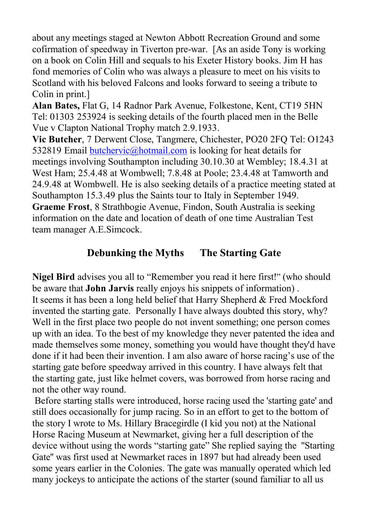about any meetings staged at Newton Abbott Recreation Ground and some cofirmation of speedway in Tiverton pre-war. [As an aside Tony is working on a book on Colin Hill and sequals to his Exeter History books. Jim H has fond memories of Colin who was always a pleasure to meet on his visits to Scotland with his beloved Falcons and looks forward to seeing a tribute to Colin in print.]

**Alan Bates,** Flat G, 14 Radnor Park Avenue, Folkestone, Kent, CT19 5HN Tel: 01303 253924 is seeking details of the fourth placed men in the Belle Vue v Clapton National Trophy match 2.9.1933.

**Vic Butcher**, 7 Derwent Close, Tangmere, Chichester, PO20 2FQ Tel: O1243 532819 Email [butchervic@hotmail.com](mailto:butchervic@hotmail.com) is looking for heat details for meetings involving Southampton including 30.10.30 at Wembley; 18.4.31 at West Ham; 25.4.48 at Wombwell; 7.8.48 at Poole; 23.4.48 at Tamworth and 24.9.48 at Wombwell. He is also seeking details of a practice meeting stated at Southampton 15.3.49 plus the Saints tour to Italy in September 1949. **Graeme Frost**, 8 Strathbogie Avenue, Findon, South Australia is seeking information on the date and location of death of one time Australian Test team manager A.E.Simcock.

## **Debunking the Myths The Starting Gate**

**Nigel Bird** advises you all to "Remember you read it here first!" (who should be aware that **John Jarvis** really enjoys his snippets of information) . It seems it has been a long held belief that Harry Shepherd & Fred Mockford invented the starting gate. Personally I have always doubted this story, why? Well in the first place two people do not invent something; one person comes up with an idea. To the best of my knowledge they never patented the idea and made themselves some money, something you would have thought they'd have done if it had been their invention. I am also aware of horse racing's use of the starting gate before speedway arrived in this country. I have always felt that the starting gate, just like helmet covers, was borrowed from horse racing and not the other way round.

Before starting stalls were introduced, horse racing used the 'starting gate' and still does occasionally for jump racing. So in an effort to get to the bottom of the story I wrote to Ms. Hillary Bracegirdle (I kid you not) at the National Horse Racing Museum at Newmarket, giving her a full description of the device without using the words "starting gate" She replied saying the ''Starting Gate'' was first used at Newmarket races in 1897 but had already been used some years earlier in the Colonies. The gate was manually operated which led many jockeys to anticipate the actions of the starter (sound familiar to all us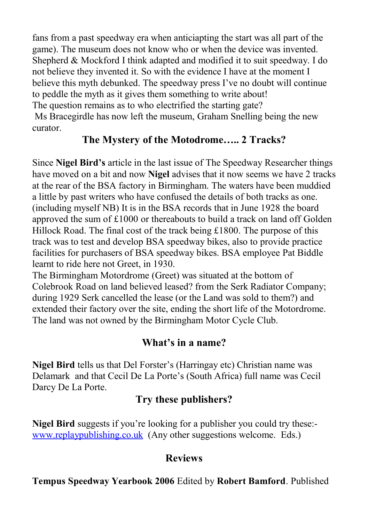fans from a past speedway era when anticiapting the start was all part of the game). The museum does not know who or when the device was invented. Shepherd & Mockford I think adapted and modified it to suit speedway. I do not believe they invented it. So with the evidence I have at the moment I believe this myth debunked. The speedway press I've no doubt will continue to peddle the myth as it gives them something to write about! The question remains as to who electrified the starting gate?

Ms Bracegirdle has now left the museum, Graham Snelling being the new curator.

## **The Mystery of the Motodrome….. 2 Tracks?**

Since **Nigel Bird's** article in the last issue of The Speedway Researcher things have moved on a bit and now **Nigel** advises that it now seems we have 2 tracks at the rear of the BSA factory in Birmingham. The waters have been muddied a little by past writers who have confused the details of both tracks as one. (including myself NB) It is in the BSA records that in June 1928 the board approved the sum of £1000 or thereabouts to build a track on land off Golden Hillock Road. The final cost of the track being £1800. The purpose of this track was to test and develop BSA speedway bikes, also to provide practice facilities for purchasers of BSA speedway bikes. BSA employee Pat Biddle learnt to ride here not Greet, in 1930.

The Birmingham Motordrome (Greet) was situated at the bottom of Colebrook Road on land believed leased? from the Serk Radiator Company; during 1929 Serk cancelled the lease (or the Land was sold to them?) and extended their factory over the site, ending the short life of the Motordrome. The land was not owned by the Birmingham Motor Cycle Club.

## **What's in a name?**

**Nigel Bird** tells us that Del Forster's (Harringay etc) Christian name was Delamark and that Cecil De La Porte's (South Africa) full name was Cecil Darcy De La Porte.

## **Try these publishers?**

**Nigel Bird** suggests if you're looking for a publisher you could try these: [www.replaypublishing.co.uk](http://www.replaypublishing.co.uk/) (Any other suggestions welcome. Eds.)

## **Reviews**

**Tempus Speedway Yearbook 2006** Edited by **Robert Bamford**. Published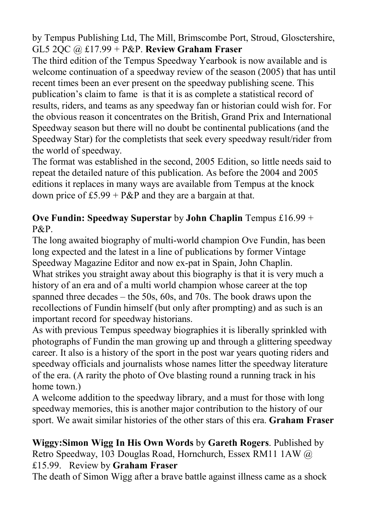by Tempus Publishing Ltd, The Mill, Brimscombe Port, Stroud, Glosctershire, GL5 2QC @ £17.99 + P&P. **Review Graham Fraser**

The third edition of the Tempus Speedway Yearbook is now available and is welcome continuation of a speedway review of the season (2005) that has until recent times been an ever present on the speedway publishing scene. This publication's claim to fame is that it is as complete a statistical record of results, riders, and teams as any speedway fan or historian could wish for. For the obvious reason it concentrates on the British, Grand Prix and International Speedway season but there will no doubt be continental publications (and the Speedway Star) for the completists that seek every speedway result/rider from the world of speedway.

The format was established in the second, 2005 Edition, so little needs said to repeat the detailed nature of this publication. As before the 2004 and 2005 editions it replaces in many ways are available from Tempus at the knock down price of  $£5.99 + P&P$  and they are a bargain at that.

#### **Ove Fundin: Speedway Superstar** by **John Chaplin** Tempus £16.99 + P&P.

The long awaited biography of multi-world champion Ove Fundin, has been long expected and the latest in a line of publications by former Vintage Speedway Magazine Editor and now ex-pat in Spain, John Chaplin. What strikes you straight away about this biography is that it is very much a history of an era and of a multi world champion whose career at the top spanned three decades – the 50s, 60s, and 70s. The book draws upon the recollections of Fundin himself (but only after prompting) and as such is an important record for speedway historians.

As with previous Tempus speedway biographies it is liberally sprinkled with photographs of Fundin the man growing up and through a glittering speedway career. It also is a history of the sport in the post war years quoting riders and speedway officials and journalists whose names litter the speedway literature of the era. (A rarity the photo of Ove blasting round a running track in his home town.)

A welcome addition to the speedway library, and a must for those with long speedway memories, this is another major contribution to the history of our sport. We await similar histories of the other stars of this era. **Graham Fraser**

**Wiggy:Simon Wigg In His Own Words** by **Gareth Rogers**. Published by Retro Speedway, 103 Douglas Road, Hornchurch, Essex RM11 1AW @ £15.99. Review by **Graham Fraser**

The death of Simon Wigg after a brave battle against illness came as a shock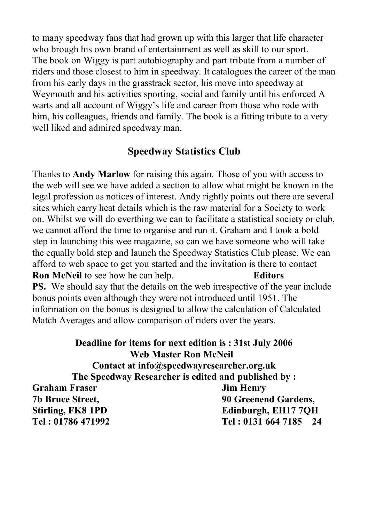to many speedway fans that had grown up with this larger that life character who brough his own brand of entertainment as well as skill to our sport. The book on Wiggy is part autobiography and part tribute from a number of riders and those closest to him in speedway. It catalogues the career of the man from his early days in the grasstrack sector, his move into speedway at Weymouth and his activities sporting, social and family until his enforced A warts and all account of Wiggy's life and career from those who rode with him, his colleagues, friends and family. The book is a fitting tribute to a very well liked and admired speedway man.

#### **Speedway Statistics Club**

Thanks to **Andy Marlow** for raising this again. Those of you with access to the web will see we have added a section to allow what might be known in the legal profession as notices of interest. Andy rightly points out there are several sites which carry heat details which is the raw material for a Society to work on. Whilst we will do everthing we can to facilitate a statistical society or club, we cannot afford the time to organise and run it. Graham and I took a bold step in launching this wee magazine, so can we have someone who will take the equally bold step and launch the Speedway Statistics Club please. We can afford to web space to get you started and the invitation is there to contact **Ron McNeil** to see how he can help. **Editors PS.** We should say that the details on the web irrespective of the year include bonus points even although they were not introduced until 1951. The information on the bonus is designed to allow the calculation of Calculated Match Averages and allow comparison of riders over the years.

**Deadline for items for next edition is : 31st July 2006 Web Master Ron McNeil Contact at info@speedwayresearcher.org.uk The Speedway Researcher is edited and published by : Graham Fraser Jim Henry 7b Bruce Street, 90 Greenend Gardens, Stirling, FK8 1PD Edinburgh, EH17 7QH Tel : 01786 471992 Tel : 0131 664 7185 24**